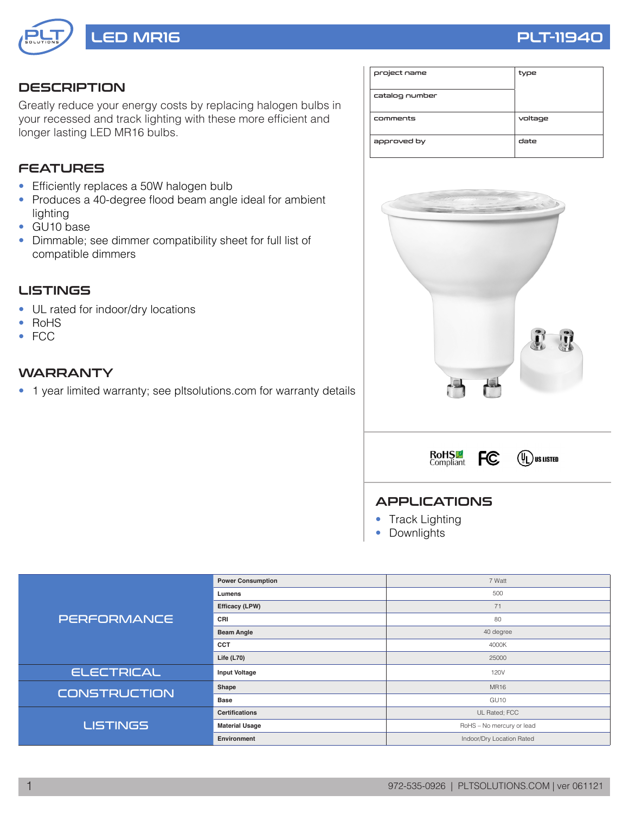

## **DESCRIPTION**

Greatly reduce your energy costs by replacing halogen bulbs in your recessed and track lighting with these more efficient and longer lasting LED MR16 bulbs.

## FEATURES

- Efficiently replaces a 50W halogen bulb
- Produces a 40-degree flood beam angle ideal for ambient lighting
- GU10 base
- Dimmable; see dimmer compatibility sheet for full list of compatible dimmers

### LISTINGS

- UL rated for indoor/dry locations
- RoHS
- FCC

## **WARRANTY**

• 1 year limited warranty; see pltsolutions.com for warranty details

| project name   | type    |
|----------------|---------|
| catalog number |         |
| comments       | voltage |
| approved by    | date    |







### APPLICATIONS

- Track Lighting
- Downlights

|                     | <b>Power Consumption</b> | 7 Watt                    |  |  |  |
|---------------------|--------------------------|---------------------------|--|--|--|
|                     | Lumens                   | 500                       |  |  |  |
|                     | Efficacy (LPW)           | 71                        |  |  |  |
| <b>PERFORMANCE</b>  | CRI                      | 80                        |  |  |  |
|                     | <b>Beam Angle</b>        | 40 degree                 |  |  |  |
|                     | <b>CCT</b>               | 4000K                     |  |  |  |
|                     | Life $(L70)$             | 25000                     |  |  |  |
| <b>ELECTRICAL</b>   | <b>Input Voltage</b>     | 120V                      |  |  |  |
| <b>CONSTRUCTION</b> | Shape                    | <b>MR16</b>               |  |  |  |
|                     | <b>Base</b>              | GU <sub>10</sub>          |  |  |  |
|                     | <b>Certifications</b>    | UL Rated; FCC             |  |  |  |
| <b>LISTINGS</b>     | <b>Material Usage</b>    | RoHS - No mercury or lead |  |  |  |
|                     | Environment              | Indoor/Dry Location Rated |  |  |  |